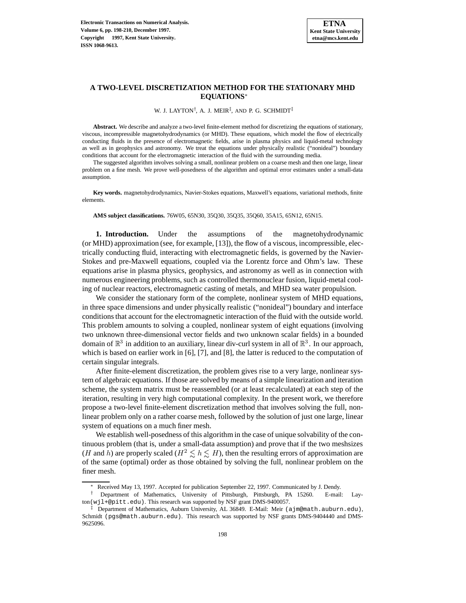# **A TWO-LEVEL DISCRETIZATION METHOD FOR THE STATIONARY MHD EQUATIONS**<sup>∗</sup>

W. J. LAYTON†, A. J. MEIR‡, AND P. G. SCHMIDT‡

**Abstract.** We describe and analyze a two-level finite-element method for discretizing the equations of stationary, viscous, incompressible magnetohydrodynamics (or MHD). These equations, which model the flow of electrically conducting fluids in the presence of electromagnetic fields, arise in plasma physics and liquid-metal technology as well as in geophysics and astronomy. We treat the equations under physically realistic ("nonideal") boundary conditions that account for the electromagnetic interaction of the fluid with the surrounding media.

The suggested algorithm involves solving a small, nonlinear problem on a coarse mesh and then one large, linear problem on a fine mesh. We prove well-posedness of the algorithm and optimal error estimates under a small-data assumption.

**Key words.** magnetohydrodynamics, Navier-Stokes equations, Maxwell's equations, variational methods, finite elements.

**AMS subject classifications.** 76W05, 65N30, 35Q30, 35Q35, 35Q60, 35A15, 65N12, 65N15.

**1. Introduction.** Under the assumptions of the magnetohydrodynamic (or MHD) approximation (see, for example, [13]), the flow of a viscous, incompressible, electrically conducting fluid, interacting with electromagnetic fields, is governed by the Navier-Stokes and pre-Maxwell equations, coupled via the Lorentz force and Ohm's law. These equations arise in plasma physics, geophysics, and astronomy as well as in connection with numerous engineering problems, such as controlled thermonuclear fusion, liquid-metal cooling of nuclear reactors, electromagnetic casting of metals, and MHD sea water propulsion.

We consider the stationary form of the complete, nonlinear system of MHD equations, in three space dimensions and under physically realistic ("nonideal") boundary and interface conditions that account for the electromagnetic interaction of the fluid with the outside world. This problem amounts to solving a coupled, nonlinear system of eight equations (involving two unknown three-dimensional vector fields and two unknown scalar fields) in a bounded domain of  $\mathbb{R}^3$  in addition to an auxiliary, linear div-curl system in all of  $\mathbb{R}^3$ . In our approach, which is based on earlier work in [6], [7], and [8], the latter is reduced to the computation of certain singular integrals.

After finite-element discretization, the problem gives rise to a very large, nonlinear system of algebraic equations. If those are solved by means of a simple linearization and iteration scheme, the system matrix must be reassembled (or at least recalculated) at each step of the iteration, resulting in very high computational complexity. In the present work, we therefore propose a two-level finite-element discretization method that involves solving the full, nonlinear problem only on a rather coarse mesh, followed by the solution of just one large, linear system of equations on a much finer mesh.

We establish well-posedness of this algorithm in the case of unique solvability of the continuous problem (that is, under a small-data assumption) and prove that if the two meshsizes (*H* and *h*) are properly scaled ( $H^2 \leq h \leq H$ ), then the resulting errors of approximation are of the same (optimal) order as those obtained by solving the full, nonlinear problem on the finer mesh.

Received May 13, 1997. Accepted for publication September 22, 1997. Communicated by J. Dendy.

<sup>†</sup> Department of Mathematics, University of Pittsburgh, Pittsburgh, PA 15260. E-mail: Layton(wjl+@pitt.edu). This research was supported by NSF grant DMS-9400057.

 $\ddagger$  Department of Mathematics, Auburn University, AL 36849. E-Mail: Meir (ajm@math.auburn.edu), Schmidt (pgs@math.auburn.edu). This research was supported by NSF grants DMS-9404440 and DMS-9625096.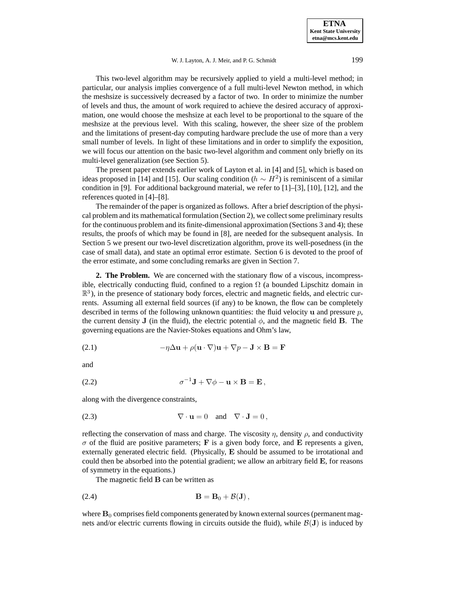#### W. J. Layton, A. J. Meir, and P. G. Schmidt 199

This two-level algorithm may be recursively applied to yield a multi-level method; in particular, our analysis implies convergence of a full multi-level Newton method, in which the meshsize is successively decreased by a factor of two. In order to minimize the number of levels and thus, the amount of work required to achieve the desired accuracy of approximation, one would choose the meshsize at each level to be proportional to the square of the meshsize at the previous level. With this scaling, however, the sheer size of the problem and the limitations of present-day computing hardware preclude the use of more than a very small number of levels. In light of these limitations and in order to simplify the exposition, we will focus our attention on the basic two-level algorithm and comment only briefly on its multi-level generalization (see Section 5).

The present paper extends earlier work of Layton et al. in [4] and [5], which is based on ideas proposed in [14] and [15]. Our scaling condition ( $h \sim H^2$ ) is reminiscent of a similar condition in [9]. For additional background material, we refer to [1]–[3], [10], [12], and the references quoted in [4]–[8].

The remainder of the paper is organized as follows. After a brief description of the physical problem and its mathematical formulation (Section 2), we collect some preliminary results for the continuous problem and its finite-dimensional approximation (Sections 3 and 4); these results, the proofs of which may be found in [8], are needed for the subsequent analysis. In Section 5 we present our two-level discretization algorithm, prove its well-posedness (in the case of small data), and state an optimal error estimate. Section 6 is devoted to the proof of the error estimate, and some concluding remarks are given in Section 7.

**2. The Problem.** We are concerned with the stationary flow of a viscous, incompressible, electrically conducting fluid, confined to a region  $\Omega$  (a bounded Lipschitz domain in  $\mathbb{R}^3$ ), in the presence of stationary body forces, electric and magnetic fields, and electric currents. Assuming all external field sources (if any) to be known, the flow can be completely described in terms of the following unknown quantities: the fluid velocity **u** and pressure p, the current density **J** (in the fluid), the electric potential  $\phi$ , and the magnetic field **B**. The governing equations are the Navier-Stokes equations and Ohm's law,

(2.1) 
$$
-\eta \Delta \mathbf{u} + \rho (\mathbf{u} \cdot \nabla) \mathbf{u} + \nabla p - \mathbf{J} \times \mathbf{B} = \mathbf{F}
$$

and

(2.2) 
$$
\sigma^{-1} \mathbf{J} + \nabla \phi - \mathbf{u} \times \mathbf{B} = \mathbf{E},
$$

along with the divergence constraints,

(2.3) 
$$
\nabla \cdot \mathbf{u} = 0 \text{ and } \nabla \cdot \mathbf{J} = 0,
$$

reflecting the conservation of mass and charge. The viscosity  $\eta$ , density  $\rho$ , and conductivity  $\sigma$  of the fluid are positive parameters; **F** is a given body force, and **E** represents a given, externally generated electric field. (Physically, **E** should be assumed to be irrotational and could then be absorbed into the potential gradient; we allow an arbitrary field **E**, for reasons of symmetry in the equations.)

The magnetic field **B** can be written as

$$
\mathbf{B} = \mathbf{B}_0 + \mathcal{B}(\mathbf{J}),
$$

where  $\mathbf{B}_0$  comprises field components generated by known external sources (permanent magnets and/or electric currents flowing in circuits outside the fluid), while  $\mathcal{B}(J)$  is induced by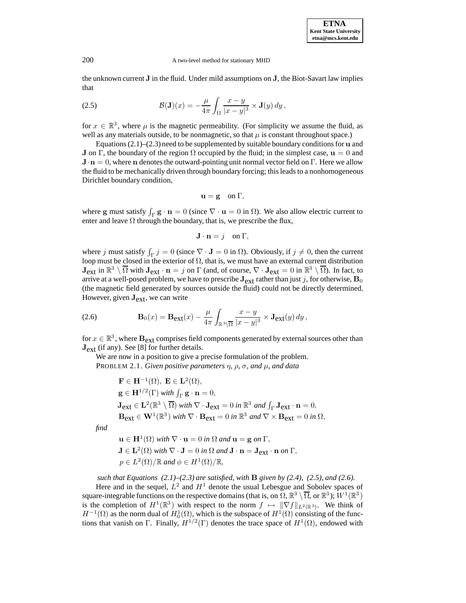**ETNA Kent State University etna@mcs.kent.edu**

#### 200 A two-level method for stationary MHD

the unknown current **J** in the fluid. Under mild assumptions on **J**, the Biot-Savart law implies that

(2.5) 
$$
\mathcal{B}(\mathbf{J})(x) = -\frac{\mu}{4\pi} \int_{\Omega} \frac{x-y}{|x-y|^3} \times \mathbf{J}(y) dy,
$$

for  $x \in \mathbb{R}^3$ , where  $\mu$  is the magnetic permeability. (For simplicity we assume the fluid, as well as any materials outside, to be nonmagnetic, so that  $\mu$  is constant throughout space.)

Equations (2.1)–(2.3) need to be supplemented by suitable boundary conditions for **u** and **J** on  $\Gamma$ , the boundary of the region  $\Omega$  occupied by the fluid; in the simplest case,  $\mathbf{u} = 0$  and **J**·**n** = 0, where **n** denotes the outward-pointing unit normal vector field on Γ. Here we allow the fluid to be mechanically driven through boundary forcing; this leads to a nonhomogeneous Dirichlet boundary condition,

$$
\mathbf{u} = \mathbf{g} \quad \text{on } \Gamma,
$$

where **g** must satisfy  $\int_{\Gamma} \mathbf{g} \cdot \mathbf{n} = 0$  (since  $\nabla \cdot \mathbf{u} = 0$  in  $\Omega$ ). We also allow electric current to enter and leave  $\Omega$  through the boundary, that is, we prescribe the flux,

$$
\mathbf{J}\cdot\mathbf{n}=j\quad\text{on }\Gamma,
$$

where j must satisfy  $\int_{\Gamma} j = 0$  (since  $\nabla \cdot \mathbf{J} = 0$  in  $\Omega$ ). Obviously, if  $j \neq 0$ , then the current loop must be closed in the exterior of  $\Omega$ , that is, we must have an external current distribution  $\mathbf{J}_{ext}$  in  $\mathbb{R}^3 \setminus \overline{\Omega}$  with  $\mathbf{J}_{ext} \cdot \mathbf{n} = j$  on  $\Gamma$  (and, of course,  $\nabla \cdot \mathbf{J}_{ext} = 0$  in  $\mathbb{R}^3 \setminus \overline{\Omega}$ ). In fact, to arrive at a well-posed problem, we have to prescribe  $J_{ext}$  rather than just j, for otherwise,  $B_0$ (the magnetic field generated by sources outside the fluid) could not be directly determined. However, given **J**ext, we can write

(2.6) 
$$
\mathbf{B}_0(x) = \mathbf{B}_{\text{ext}}(x) - \frac{\mu}{4\pi} \int_{\mathbb{R}^3 \setminus \overline{\Omega}} \frac{x - y}{|x - y|^3} \times \mathbf{J}_{\text{ext}}(y) dy,
$$

for  $x \in \mathbb{R}^3$ , where  $\mathbf{B}_{ext}$  comprises field components generated by external sources other than **J**ext (if any). See [8] for further details.

We are now in a position to give a precise formulation of the problem. PROBLEM 2.1. *Given positive parameters* η*,* ρ*,* σ*, and* µ*, and data*

$$
\mathbf{F} \in \mathbf{H}^{-1}(\Omega), \mathbf{E} \in \mathbf{L}^{2}(\Omega),
$$
\n
$$
\mathbf{g} \in \mathbf{H}^{1/2}(\Gamma) \text{ with } \int_{\Gamma} \mathbf{g} \cdot \mathbf{n} = 0,
$$
\n
$$
\mathbf{J}_{ext} \in \mathbf{L}^{2}(\mathbb{R}^{3} \setminus \overline{\Omega}) \text{ with } \nabla \cdot \mathbf{J}_{ext} = 0 \text{ in } \mathbb{R}^{3} \text{ and } \int_{\Gamma} \mathbf{J}_{ext} \cdot \mathbf{n} = 0,
$$
\n
$$
\mathbf{B}_{ext} \in \mathbf{W}^{1}(\mathbb{R}^{3}) \text{ with } \nabla \cdot \mathbf{B}_{ext} = 0 \text{ in } \mathbb{R}^{3} \text{ and } \nabla \times \mathbf{B}_{ext} = 0 \text{ in } \Omega,
$$
\n
$$
\mathbf{u} \in \mathbf{H}^{1}(\Omega) \text{ with } \nabla \cdot \mathbf{u} = 0 \text{ in } \Omega \text{ and } \mathbf{u} = \mathbf{g} \text{ on } \Gamma,
$$
\n
$$
\mathbf{J} \in \mathbf{L}^{2}(\Omega) \text{ with } \nabla \cdot \mathbf{J} = 0 \text{ in } \Omega \text{ and } \mathbf{J} \cdot \mathbf{n} = \mathbf{J}_{ext} \cdot \mathbf{n} \text{ on } \Gamma
$$

*find*

$$
\mathbf{J} \in \mathbf{L}^2(\Omega) \text{ with } \nabla \cdot \mathbf{J} = 0 \text{ in } \Omega \text{ and } \mathbf{J} \cdot \mathbf{n} = \mathbf{J}_{ext} \cdot \mathbf{n} \text{ on } \Gamma,
$$
  

$$
\mathbf{J} \in \mathbf{L}^2(\Omega) \text{ with } \nabla \cdot \mathbf{J} = 0 \text{ in } \Omega \text{ and } \mathbf{J} \cdot \mathbf{n} = \mathbf{J}_{ext} \cdot \mathbf{n} \text{ on } \Gamma,
$$
  

$$
p \in L^2(\Omega) / \mathbb{R} \text{ and } \phi \in H^1(\Omega) / \mathbb{R},
$$

*such that Equations (2.1)–(2.3) are satisfied, with* **B** *given by (2.4), (2.5), and (2.6).* Here and in the sequel,  $L^2$  and  $H^1$  denote the usual Lebesgue and Sobolev spaces of square-integrable functions on the respective domains (that is, on  $\Omega$ ,  $\mathbb{R}^3 \setminus \overline{\Omega}$ , or  $\mathbb{R}^3$ );  $W^1(\mathbb{R}^3)$ 

is the completion of  $H^1(\mathbb{R}^3)$  with respect to the norm  $f \mapsto ||\nabla f||_{L^2(\mathbb{R}^3)}$ . We think of  $H^{-1}(\Omega)$  as the norm dual of  $H_0^1(\Omega)$ , which is the subspace of  $H^1(\Omega)$  consisting of the functions that vanish on Γ. Finally,  $H^{1/2}(\Gamma)$  denotes the trace space of  $H^1(\Omega)$ , endowed with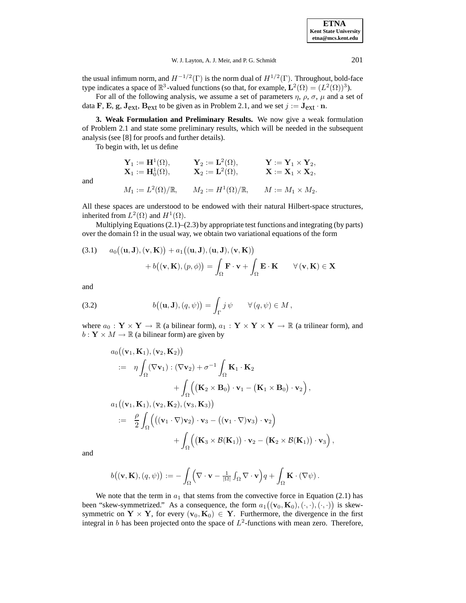| <b>ETNA</b>                  |
|------------------------------|
| <b>Kent State University</b> |
| etna@mcs.kent.edu            |

the usual infimum norm, and  $H^{-1/2}(\Gamma)$  is the norm dual of  $H^{1/2}(\Gamma)$ . Throughout, bold-face type indicates a space of  $\mathbb{R}^3$ -valued functions (so that, for example,  $\mathbf{L}^2(\Omega) = (L^2(\Omega))^3$ ).

For all of the following analysis, we assume a set of parameters  $\eta$ ,  $\rho$ ,  $\sigma$ ,  $\mu$  and a set of data **F**, **E**, **g**,  $J_{ext}$ ,  $B_{ext}$  to be given as in Problem 2.1, and we set  $j := J_{ext} \cdot n$ .

**3. Weak Formulation and Preliminary Results.** We now give a weak formulation of Problem 2.1 and state some preliminary results, which will be needed in the subsequent analysis (see [8] for proofs and further details).

To begin with, let us define

$$
\begin{aligned}\n\mathbf{Y}_1 &:= \mathbf{H}^1(\Omega), & \mathbf{Y}_2 &:= \mathbf{L}^2(\Omega), & \mathbf{Y} &:= \mathbf{Y}_1 \times \mathbf{Y}_2, \\
\mathbf{X}_1 &:= \mathbf{H}_0^1(\Omega), & \mathbf{X}_2 &:= \mathbf{L}^2(\Omega), & \mathbf{X} &:= \mathbf{X}_1 \times \mathbf{X}_2, \\
M_1 &:= L^2(\Omega)/\mathbb{R}, & M_2 &:= H^1(\Omega)/\mathbb{R}, & M &:= M_1 \times M_2.\n\end{aligned}
$$

and

All these spaces are understood to be endowed with their natural Hilbert-space structures, inherited from  $L^2(\Omega)$  and  $H^1(\Omega)$ .

Multiplying Equations  $(2.1)$ – $(2.3)$  by appropriate test functions and integrating (by parts) over the domain  $\Omega$  in the usual way, we obtain two variational equations of the form

(3.1) 
$$
a_0((\mathbf{u}, \mathbf{J}), (\mathbf{v}, \mathbf{K})) + a_1((\mathbf{u}, \mathbf{J}), (\mathbf{u}, \mathbf{J}), (\mathbf{v}, \mathbf{K}))
$$
  
  $+ b((\mathbf{v}, \mathbf{K}), (p, \phi)) = \int_{\Omega} \mathbf{F} \cdot \mathbf{v} + \int_{\Omega} \mathbf{E} \cdot \mathbf{K} \qquad \forall (\mathbf{v}, \mathbf{K}) \in \mathbf{X}$ 

and

(3.2) 
$$
b((\mathbf{u},\mathbf{J}), (q,\psi)) = \int_{\Gamma} j \psi \qquad \forall (q,\psi) \in M,
$$

where  $a_0: \mathbf{Y} \times \mathbf{Y} \to \mathbb{R}$  (a bilinear form),  $a_1: \mathbf{Y} \times \mathbf{Y} \times \mathbf{Y} \to \mathbb{R}$  (a trilinear form), and  $b: \mathbf{Y} \times M \to \mathbb{R}$  (a bilinear form) are given by

$$
a_0((\mathbf{v}_1, \mathbf{K}_1), (\mathbf{v}_2, \mathbf{K}_2))
$$
  
\n
$$
= \eta \int_{\Omega} (\nabla \mathbf{v}_1) : (\nabla \mathbf{v}_2) + \sigma^{-1} \int_{\Omega} \mathbf{K}_1 \cdot \mathbf{K}_2
$$
  
\n
$$
+ \int_{\Omega} ((\mathbf{K}_2 \times \mathbf{B}_0) \cdot \mathbf{v}_1 - (\mathbf{K}_1 \times \mathbf{B}_0) \cdot \mathbf{v}_2),
$$
  
\n
$$
a_1((\mathbf{v}_1, \mathbf{K}_1), (\mathbf{v}_2, \mathbf{K}_2), (\mathbf{v}_3, \mathbf{K}_3))
$$
  
\n
$$
:= \frac{\rho}{2} \int_{\Omega} ((\mathbf{v}_1 \cdot \nabla) \mathbf{v}_2) \cdot \mathbf{v}_3 - ((\mathbf{v}_1 \cdot \nabla) \mathbf{v}_3) \cdot \mathbf{v}_2) + \int_{\Omega} ((\mathbf{K}_3 \times \mathcal{B}(\mathbf{K}_1)) \cdot \mathbf{v}_2 - (\mathbf{K}_2 \times \mathcal{B}(\mathbf{K}_1)) \cdot \mathbf{v}_3),
$$

and

$$
b((\mathbf{v},\mathbf{K}),(q,\psi)) := -\int_{\Omega} \Bigl(\nabla \cdot \mathbf{v} - \frac{1}{|\Omega|} \int_{\Omega} \nabla \cdot \mathbf{v} \Bigr) q + \int_{\Omega} \mathbf{K} \cdot (\nabla \psi).
$$

We note that the term in  $a_1$  that stems from the convective force in Equation (2.1) has been "skew-symmetrized." As a consequence, the form  $a_1((\mathbf{v}_0, \mathbf{K}_0), (\cdot, \cdot), (\cdot, \cdot))$  is skewsymmetric on  $Y \times Y$ , for every  $(v_0, K_0) \in Y$ . Furthermore, the divergence in the first integral in b has been projected onto the space of  $L^2$ -functions with mean zero. Therefore,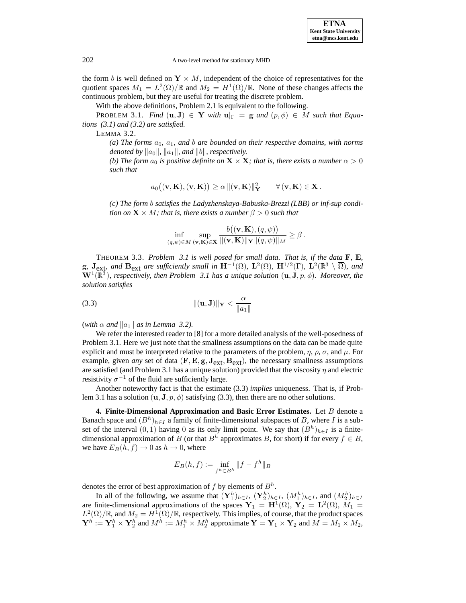**ETNA Kent State University etna@mcs.kent.edu**

the form b is well defined on  $Y \times M$ , independent of the choice of representatives for the quotient spaces  $M_1 = L^2(\Omega)/\mathbb{R}$  and  $M_2 = H^1(\Omega)/\mathbb{R}$ . None of these changes affects the continuous problem, but they are useful for treating the discrete problem.

With the above definitions, Problem 2.1 is equivalent to the following.

PROBLEM 3.1. *Find*  $(\mathbf{u}, \mathbf{J}) \in \mathbf{Y}$  *with*  $\mathbf{u}|_{\Gamma} = \mathbf{g}$  *and*  $(p, \phi) \in M$  *such that Equations (3.1) and (3.2) are satisfied.*

LEMMA 3.2.

 $(a)$  The forms  $a_0$ ,  $a_1$ , and  $b$  are bounded on their respective domains, with norms *denoted by*  $\|a_0\|$ ,  $\|a_1\|$ , and  $\|b\|$ , respectively.

*(b)* The form  $a_0$  is positive definite on  $\mathbf{X} \times \mathbf{X}$ ; that is, there exists a number  $\alpha > 0$ *such that*

$$
a_0((\mathbf{v},\mathbf{K}),(\mathbf{v},\mathbf{K})) \geq \alpha \|(\mathbf{v},\mathbf{K})\|_{\mathbf{Y}}^2 \qquad \forall (\mathbf{v},\mathbf{K}) \in \mathbf{X}.
$$

*(c) The form* b *satisfies the Ladyzhenskaya-Babuska-Brezzi (LBB) or inf-sup condition on*  $X \times M$ *; that is, there exists a number*  $\beta > 0$  *such that* 

$$
\inf_{(q,\psi)\in M} \sup_{(\mathbf{v},\mathbf{K})\in \mathbf{X}} \frac{b((\mathbf{v},\mathbf{K}),(q,\psi))}{\|(\mathbf{v},\mathbf{K})\|_{\mathbf{Y}}\|(q,\psi)\|_{M}} \geq \beta.
$$

THEOREM 3.3. *Problem 3.1 is well posed for small data. That is, if the data* **F***,* **E***,* **g***,* **J**<sub>ext</sub>*, and* **B**<sub>ext</sub> *are sufficiently small in*  $H^{-1}(\Omega)$ *,*  $L^2(\Omega)$ *,*  $H^{1/2}(\Gamma)$ *,*  $L^2(\mathbb{R}^3 \setminus \overline{\Omega})$ *, and*  $\mathbf{W}^1(\mathbb{R}^3)$ , respectively, then Problem 3.1 has a unique solution  $(\mathbf{u}, \mathbf{J}, p, \phi)$ . Moreover, the *solution satisfies*

$$
\|(\mathbf{u}, \mathbf{J})\|_{\mathbf{Y}} < \frac{\alpha}{\|a_1\|}
$$

(*with*  $\alpha$  *and*  $\|a_1\|$  *as in Lemma 3.2*).

We refer the interested reader to [8] for a more detailed analysis of the well-posedness of Problem 3.1. Here we just note that the smallness assumptions on the data can be made quite explicit and must be interpreted relative to the parameters of the problem,  $\eta$ ,  $\rho$ ,  $\sigma$ , and  $\mu$ . For example, given *any* set of data  $(F, E, g, J_{ext}, B_{ext})$ , the necessary smallness assumptions are satisfied (and Problem 3.1 has a unique solution) provided that the viscosity  $\eta$  and electric resistivity  $\sigma^{-1}$  of the fluid are sufficiently large.

Another noteworthy fact is that the estimate (3.3) *implies* uniqueness. That is, if Problem 3.1 has a solution  $(\mathbf{u}, \mathbf{J}, p, \phi)$  satisfying (3.3), then there are no other solutions.

**4. Finite-Dimensional Approximation and Basic Error Estimates.** Let B denote a Banach space and  $(B<sup>h</sup>)<sub>h∈I</sub>$  a family of finite-dimensional subspaces of B, where I is a subset of the interval  $(0, 1)$  having 0 as its only limit point. We say that  $(B<sup>h</sup>)_{h\in I}$  is a finitedimensional approximation of B (or that  $B^h$  approximates B, for short) if for every  $f \in B$ , we have  $E_B(h, f) \to 0$  as  $h \to 0$ , where

$$
E_B(h, f) := \inf_{f^h \in B^h} \|f - f^h\|_B
$$

denotes the error of best approximation of f by elements of  $B<sup>h</sup>$ .

In all of the following, we assume that  $(\mathbf{Y}_1^h)_{h \in I}$ ,  $(\mathbf{Y}_2^h)_{h \in I}$ ,  $(M_1^h)_{h \in I}$ , and  $(M_2^h)_{h \in I}$ are finite-dimensional approximations of the spaces  $Y_1 = H^1(\Omega)$ ,  $Y_2 = L^2(\Omega)$ ,  $M_1 =$  $L^2(\Omega)/\mathbb{R}$ , and  $M_2 = H^1(\Omega)/\mathbb{R}$ , respectively. This implies, of course, that the product spaces  $\mathbf{Y}^h := \mathbf{Y}_1^h \times \mathbf{Y}_2^h$  and  $M^h := M_1^h \times M_2^h$  approximate  $\mathbf{Y} = \mathbf{Y}_1 \times \mathbf{Y}_2$  and  $M = M_1 \times M_2$ ,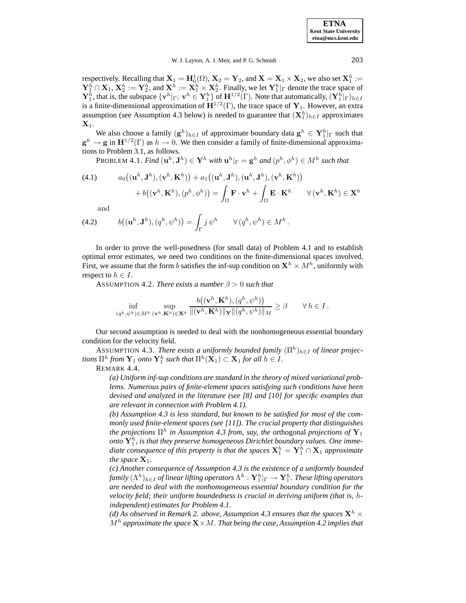**ETNA Kent State University etna@mcs.kent.edu**

W. J. Layton, A. J. Meir, and P. G. Schmidt 203

respectively. Recalling that  $X_1 = H_0^1(\Omega)$ ,  $X_2 = Y_2$ , and  $X = X_1 \times X_2$ , we also set  $X_1^h :=$  $\mathbf{Y}_1^h \cap \mathbf{X}_1, \mathbf{X}_2^h := \mathbf{Y}_2^h$ , and  $\mathbf{X}^h := \mathbf{X}_1^h \times \mathbf{X}_2^h$ . Finally, we let  $\mathbf{Y}_1^h|_{\Gamma}$  denote the trace space of  $\mathbf{Y}_1^h$ , that is, the subspace  $\{\mathbf{v}^h|_{\Gamma}; \mathbf{v}^h \in \mathbf{Y}_1^h\}$  of  $\mathbf{H}^{1/2}(\Gamma)$ . Note that automatically,  $(\mathbf{Y}_1^h|_{\Gamma})_{h \in I}$ is a finite-dimensional approximation of  $\mathbf{H}^{1/2}(\Gamma)$ , the trace space of  $\mathbf{Y}_1$ . However, an extra assumption (see Assumption 4.3 below) is needed to guarantee that  $(\mathbf{X}_1^h)_{h \in I}$  approximates  $\mathbf{X}_1$ .

We also choose a family  $(g^h)_{h\in I}$  of approximate boundary data  $g^h \in Y_1^h|_{\Gamma}$  such that  $g^h \to g$  in  $H^{1/2}(\Gamma)$  as  $h \to 0$ . We then consider a family of finite-dimensional approximations to Problem 3.1, as follows.

PROBLEM 4.1. *Find*  $(\mathbf{u}^h, \mathbf{J}^h) \in \mathbf{Y}^h$  *with*  $\mathbf{u}^h|_{\Gamma} = \mathbf{g}^h$  *and*  $(p^h, \phi^h) \in M^h$  *such that* 

(4.1) 
$$
a_0((\mathbf{u}^h, \mathbf{J}^h), (\mathbf{v}^h, \mathbf{K}^h)) + a_1((\mathbf{u}^h, \mathbf{J}^h), (\mathbf{u}^h, \mathbf{J}^h), (\mathbf{v}^h, \mathbf{K}^h)) + b((\mathbf{v}^h, \mathbf{K}^h), (p^h, \phi^h)) = \int_{\Omega} \mathbf{F} \cdot \mathbf{v}^h + \int_{\Omega} \mathbf{E} \cdot \mathbf{K}^h \qquad \forall (\mathbf{v}^h, \mathbf{K}^h) \in \mathbf{X}^h
$$

and

(4.2) 
$$
b((\mathbf{u}^h, \mathbf{J}^h), (q^h, \psi^h)) = \int_{\Gamma} j \psi^h \qquad \forall (q^h, \psi^h) \in M^h.
$$

In order to prove the well-posedness (for small data) of Problem 4.1 and to establish optimal error estimates, we need two conditions on the finite-dimensional spaces involved. First, we assume that the form b satisfies the inf-sup condition on  $X^h \times M^h$ , uniformly with respect to  $h \in I$ .

ASSUMPTION 4.2. *There exists a number*  $\beta > 0$  *such that* 

$$
\inf_{(q^h, \psi^h) \in M^h} \sup_{(\mathbf{v}^h, \mathbf{K}^h) \in \mathbf{X}^h} \frac{b((\mathbf{v}^h, \mathbf{K}^h), (q^h, \psi^h))}{\|(\mathbf{v}^h, \mathbf{K}^h)\|_{\mathbf{Y}}\| (q^h, \psi^h)\|_{M}} \ge \beta \qquad \forall \, h \in I.
$$

Our second assumption is needed to deal with the nonhomogeneous essential boundary condition for the velocity field.

ASSUMPTION 4.3. *There exists a uniformly bounded family*  $(\Pi^h)_{h \in I}$  *of linear projections*  $\Pi^h$  *from*  $\mathbf{Y}_1$  *onto*  $\mathbf{Y}_1^h$  *such that*  $\Pi^h(\mathbf{X}_1) \subset \mathbf{X}_1$  *for all*  $h \in I$ *.* 

REMARK 4.4.

*(a) Uniform inf-sup conditions are standard in the theory of mixed variational problems. Numerous pairs of finite-element spaces satisfying such conditions have been devised and analyzed in the literature (see [8] and [10] for specific examples that are relevant in connection with Problem 4.1).*

*(b) Assumption 4.3 is less standard, but known to be satisfied for most of the commonly used finite-element spaces (see [11]). The crucial property that distinguishes the projections*  $\Pi^h$  *in Assumption 4.3 from, say, the orthogonal projections of*  $\mathbf{Y}_1$ onto  $\mathbf{Y}_1^h$ , is that they preserve homogeneous Dirichlet boundary values. One imme*diate consequence of this property is that the spaces*  $\mathbf{X}_1^h = \mathbf{Y}_1^h \cap \mathbf{X}_1$  *approximate the space*  $X_1$ *.* 

*(c) Another consequence of Assumption 4.3 is the existence of a uniformly bounded*  $f$ amily  $(\Lambda^h)_{h\in I}$  *of linear lifting operators*  $\Lambda^h:\mathbf{Y}_1^h|_{\Gamma}\to \mathbf{Y}_1^h.$  *These lifting operators are needed to deal with the nonhomogeneous essential boundary condition for the velocity field; their uniform boundedness is crucial in deriving uniform (that is,* h*independent) estimates for Problem 4.1.*

*(d)* As observed in Remark 2. above, Assumption 4.3 ensures that the spaces  $\mathbf{X}^h \times$  $M<sup>h</sup>$  approximate the space  $\mathbf{X} \times M$ . That being the case, Assumption 4.2 implies that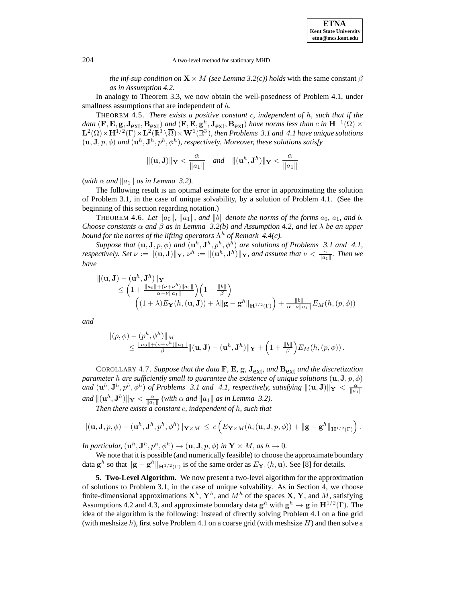*the inf-sup condition on*  $\mathbf{X} \times M$  *(see Lemma 3.2(c)) holds* with the same constant  $\beta$ *as in Assumption 4.2.*

In analogy to Theorem 3.3, we now obtain the well-posedness of Problem 4.1, under smallness assumptions that are independent of  $h$ .

THEOREM 4.5. *There exists a positive constant* c*, independent of* h*, such that if the data* (**F**, **E**, **g**, **J**<sub>ext</sub>, **B**<sub>ext</sub>) *and* (**F**, **E**, **g**<sup>h</sup>, **J**<sub>ext</sub>, **B**<sub>ext</sub>) *have norms less than c in* **H**<sup>-1</sup>( $\Omega$ ) ×  $\mathbf{L}^2(\Omega)\times\mathbf{H}^{1/2}(\Gamma)\times\mathbf{L}^2(\mathbb{R}^3\setminus\overline{\Omega})\times\mathbf{W}^1(\mathbb{R}^3)$ , then Problems 3.1 and 4.1 have unique solutions  $(\mathbf{u}, \mathbf{J}, p, \phi)$  *and*  $(\mathbf{u}^h, \mathbf{J}^h, p^h, \phi^h)$ *, respectively. Moreover, these solutions satisfy* 

$$
\|(\mathbf{u},\mathbf{J})\|_{\mathbf{Y}} < \frac{\alpha}{\|a_1\|} \quad \text{and} \quad \|(\mathbf{u}^h,\mathbf{J}^h)\|_{\mathbf{Y}} < \frac{\alpha}{\|a_1\|}
$$

(*with*  $\alpha$  *and*  $\|a_1\|$  *as in Lemma 3.2*).

The following result is an optimal estimate for the error in approximating the solution of Problem 3.1, in the case of unique solvability, by a solution of Problem 4.1. (See the beginning of this section regarding notation.)

THEOREM 4.6. Let  $\|a_0\|$ ,  $\|a_1\|$ , and  $\|b\|$  denote the norms of the forms  $a_0$ ,  $a_1$ , and b. *Choose constants*  $\alpha$  *and*  $\beta$  *as in Lemma 3.2(b) and Assumption 4.2, and let*  $\lambda$  *be an upper bound for the norms of the lifting operators*  $\Lambda^h$  *of Remark 4.4(c).* 

*Suppose that*  $(\mathbf{u}, \mathbf{J}, p, \phi)$  *and*  $(\mathbf{u}^h, \mathbf{J}^h, p^h, \phi^h)$  *are solutions of Problems 3.1 and 4.1, respectively. Set*  $\nu := ||(\mathbf{u}, \mathbf{J})||_{\mathbf{Y}}$ *,*  $\nu^h := ||(\mathbf{u}^h, \mathbf{J}^h)||_{\mathbf{Y}}$ *, and assume that*  $\nu < \frac{\alpha}{||a_1||}$ *. Then we have*

$$
\|(\mathbf{u}, \mathbf{J}) - (\mathbf{u}^h, \mathbf{J}^h)\|_{\mathbf{Y}} \le \left(1 + \frac{\|a_0\| + (\nu + \nu^h)\|a_1\|}{\alpha - \nu \|a_1\|}\right) \left(1 + \frac{\|b\|}{\beta}\right) \left(1 + \frac{\|b\|}{\beta}\right)
$$

$$
\left((1 + \lambda)E_{\mathbf{Y}}(h, (\mathbf{u}, \mathbf{J})) + \lambda \|\mathbf{g} - \mathbf{g}^h\|_{\mathbf{H}^{1/2}(\Gamma)}\right) + \frac{\|b\|}{\alpha - \nu \|a_1\|} E_M(h, (p, \phi))
$$

*and*

$$
\| (p,\phi) - (p^h,\phi^h) \|_M \\ \leq \tfrac{\|a_0\| + (\nu + \nu^h) \|a_1\|}{\beta} \| ({\mathbf u},{\mathbf J}) - ({\mathbf u}^h,{\mathbf J}^h) \|_{\mathbf Y} + \Big( 1 + \tfrac{\|b\|}{\beta} \Big) E_M(h, (p,\phi)) \, .
$$

COROLLARY 4.7. *Suppose that the data* **F***,* **E***,* **g***,* **J**ext*, and* **B**ext *and the discretization parameter h are sufficiently small to guarantee the existence of unique solutions*  $(\mathbf{u}, \mathbf{J}, p, \phi)$ *and*  $(\mathbf{u}^h, \mathbf{J}^h, p^h, \phi^h)$  *of Problems 3.1 and 4.1, respectively, satisfying*  $\|(\mathbf{u}, \mathbf{J})\|_{\mathbf{Y}} < \frac{\alpha}{\|a_1\|}$ *and*  $\|(u^h, J^h)\|_Y \leq \frac{\alpha}{\|a_1\|}$  (with  $\alpha$  *and*  $\|a_1\|$  *as in Lemma 3.2).* 

*Then there exists a constant* c*, independent of* h*, such that*

$$
\|(\mathbf{u},\mathbf{J},p,\phi)-(\mathbf{u}^h,\mathbf{J}^h,p^h,\phi^h)\|_{\mathbf{Y}\times M}\,\leq\,c\left(E_{\mathbf{Y}\times M}(h,(\mathbf{u},\mathbf{J},p,\phi))+\|\mathbf{g}-\mathbf{g}^h\|_{\mathbf{H}^{1/2}(\Gamma)}\right).
$$

*In particular,*  $(\mathbf{u}^h, \mathbf{J}^h, p^h, \phi^h) \rightarrow (\mathbf{u}, \mathbf{J}, p, \phi)$  *in*  $\mathbf{Y} \times M$ *, as*  $h \rightarrow 0$ *.* 

We note that it is possible (and numerically feasible) to choose the approximate boundary data  $\mathbf{g}^h$  so that  $\|\mathbf{g} - \mathbf{g}^h\|_{\mathbf{H}^{1/2}(\Gamma)}$  is of the same order as  $E_{\mathbf{Y}_1}(h, \mathbf{u})$ . See [8] for details.

**5. Two-Level Algorithm.** We now present a two-level algorithm for the approximation of solutions to Problem 3.1, in the case of unique solvability. As in Section 4, we choose finite-dimensional approximations  $X^h$ ,  $Y^h$ , and  $M^h$  of the spaces  $X$ ,  $Y$ , and  $M$ , satisfying Assumptions 4.2 and 4.3, and approximate boundary data  $\mathbf{g}^h$  with  $\mathbf{g}^h \to \mathbf{g}$  in  $\mathbf{H}^{1/2}(\Gamma)$ . The idea of the algorithm is the following: Instead of directly solving Problem 4.1 on a fine grid (with meshsize  $h$ ), first solve Problem 4.1 on a coarse grid (with meshsize  $H$ ) and then solve a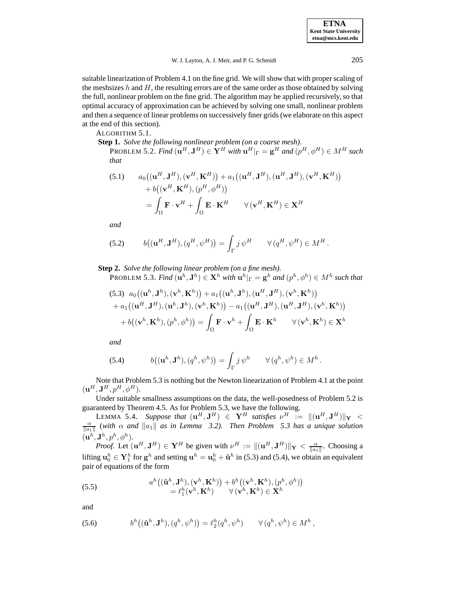#### W. J. Layton, A. J. Meir, and P. G. Schmidt 205

suitable linearization of Problem 4.1 on the fine grid. We will show that with proper scaling of the meshsizes  $h$  and  $H$ , the resulting errors are of the same order as those obtained by solving the full, nonlinear problem on the fine grid. The algorithm may be applied recursively, so that optimal accuracy of approximation can be achieved by solving one small, nonlinear problem and then a sequence of linear problems on successively finer grids (we elaborate on this aspect at the end of this section).

ALGORITHM 5.1.

**Step 1.** *Solve the following nonlinear problem (on a coarse mesh).* PROBLEM 5.2. *Find*  $(\mathbf{u}^H, \mathbf{J}^H) \in \mathbf{Y}^H$  *with*  $\mathbf{u}^H|_{\Gamma} = \mathbf{g}^H$  *and*  $(p^H, \phi^H) \in M^H$  *such that*

(5.1) 
$$
a_0((\mathbf{u}^H, \mathbf{J}^H), (\mathbf{v}^H, \mathbf{K}^H)) + a_1((\mathbf{u}^H, \mathbf{J}^H), (\mathbf{u}^H, \mathbf{J}^H), (\mathbf{v}^H, \mathbf{K}^H))
$$

$$
+ b((\mathbf{v}^H, \mathbf{K}^H), (p^H, \phi^H))
$$

$$
= \int_{\Omega} \mathbf{F} \cdot \mathbf{v}^H + \int_{\Omega} \mathbf{E} \cdot \mathbf{K}^H \qquad \forall (\mathbf{v}^H, \mathbf{K}^H) \in \mathbf{X}^H
$$

*and*

(5.2) 
$$
b((\mathbf{u}^H, \mathbf{J}^H), (q^H, \psi^H)) = \int_{\Gamma} j \psi^H \qquad \forall (q^H, \psi^H) \in M^H.
$$

**Step 2.** *Solve the following linear problem (on a fine mesh).*

PROBLEM 5.3. *Find*  $(\mathbf{u}^h, \mathbf{J}^h) \in \mathbf{X}^h$  *with*  $\mathbf{u}^h|_{\Gamma} = \mathbf{g}^h$  *and*  $(p^h, \phi^h) \in M^h$  *such that* 

(5.3) 
$$
a_0((\mathbf{u}^h, \mathbf{J}^h), (\mathbf{v}^h, \mathbf{K}^h)) + a_1((\mathbf{u}^h, \mathbf{J}^h), (\mathbf{u}^H, \mathbf{J}^H), (\mathbf{v}^h, \mathbf{K}^h))
$$
  
+  $a_1((\mathbf{u}^H, \mathbf{J}^H), (\mathbf{u}^h, \mathbf{J}^h), (\mathbf{v}^h, \mathbf{K}^h)) - a_1((\mathbf{u}^H, \mathbf{J}^H), (\mathbf{u}^H, \mathbf{J}^H), (\mathbf{v}^h, \mathbf{K}^h))$   
+  $b((\mathbf{v}^h, \mathbf{K}^h), (p^h, \phi^h)) = \int_{\Omega} \mathbf{F} \cdot \mathbf{v}^h + \int_{\Omega} \mathbf{E} \cdot \mathbf{K}^h \qquad \forall (\mathbf{v}^h, \mathbf{K}^h) \in \mathbf{X}^h$ 

*and*

(5.4) 
$$
b((\mathbf{u}^h, \mathbf{J}^h), (q^h, \psi^h)) = \int_{\Gamma} j \psi^h \qquad \forall (q^h, \psi^h) \in M^h.
$$

Note that Problem 5.3 is nothing but the Newton linearization of Problem 4.1 at the point  $(\mathbf{u}^H, \mathbf{J}^H, p^H, \phi^H).$ 

Under suitable smallness assumptions on the data, the well-posedness of Problem 5.2 is guaranteed by Theorem 4.5. As for Problem 5.3, we have the following.

**LEMMA 5.4.** *Suppose that*  $(\mathbf{u}^H, \mathbf{J}^H) \in \mathbf{Y}^H$  *satisfies*  $\nu^H := ||(\mathbf{u}^H, \mathbf{J}^H)||_{\mathbf{Y}} < \frac{\alpha}{\beta}$  (with  $\alpha$  and  $||a||_{\alpha}||_{\alpha}$  is in Lamma 3.3.) Then Problem 5.3 has a unique solution  $\frac{\alpha}{\|a_1\|}$  (with  $\alpha$  and  $\|a_1\|$  as in Lemma 3.2). Then Problem 5.3 has a unique solution  $(\mathbf{u}^h, \mathbf{J}^h, p^h, \phi^h).$ 

*Proof.* Let  $(\mathbf{u}^H, \mathbf{J}^H) \in \mathbf{Y}^H$  be given with  $\nu^H := \|(\mathbf{u}^H, \mathbf{J}^H)\|_{\mathbf{Y}} < \frac{\alpha}{\|a_1\|}$ . Choosing a lifting  $\mathbf{u}_0^h \in \mathbf{Y}_1^h$  for  $\mathbf{g}^h$  and setting  $\mathbf{u}^h = \mathbf{u}_0^h + \mathbf{\hat{u}}^h$  in (5.3) and (5.4), we obtain an equivalent pair of equations of the form

(5.5) 
$$
a^h((\mathbf{\hat{u}}^h, \mathbf{J}^h), (\mathbf{v}^h, \mathbf{K}^h)) + b^h((\mathbf{v}^h, \mathbf{K}^h), (p^h, \phi^h))
$$

$$
= \ell_1^h(\mathbf{v}^h, \mathbf{K}^h) \qquad \forall (\mathbf{v}^h, \mathbf{K}^h) \in \mathbf{X}^h
$$

and

(5.6) 
$$
b^h((\hat{\mathbf{u}}^h, \mathbf{J}^h), (q^h, \psi^h)) = \ell_2^h(q^h, \psi^h) \qquad \forall (q^h, \psi^h) \in M^h,
$$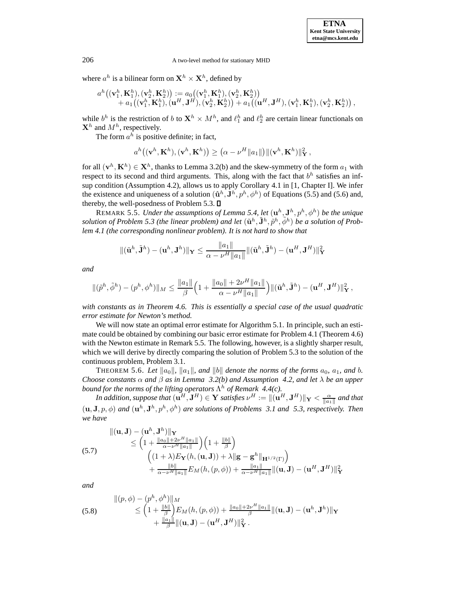where  $a^h$  is a bilinear form on  $\mathbf{X}^h \times \mathbf{X}^h$ , defined by

$$
a^h((\mathbf{v}_1^h,\mathbf{K}_1^h),(\mathbf{v}_2^h,\mathbf{K}_2^h)):=a_0((\mathbf{v}_1^h,\mathbf{K}_1^h),(\mathbf{v}_2^h,\mathbf{K}_2^h))\\+a_1\big((\mathbf{v}_1^h,\mathbf{K}_1^h),(\mathbf{u}^H,\mathbf{J}^H),(\mathbf{v}_2^h,\mathbf{K}_2^h)\big)+a_1\big((\mathbf{u}^H,\mathbf{J}^H),(\mathbf{v}_1^h,\mathbf{K}_1^h),(\mathbf{v}_2^h,\mathbf{K}_2^h)\big)\,,
$$

while  $b^h$  is the restriction of b to  $\mathbf{X}^h \times M^h$ , and  $\ell_1^h$  and  $\ell_2^h$  are certain linear functionals on  $\mathbf{X}^h$  and  $M^h$ , respectively.

The form  $a^h$  is positive definite; in fact,

$$
a^h\big((\mathbf{v}^h,\mathbf{K}^h),(\mathbf{v}^h,\mathbf{K}^h)\big)\geq \big(\alpha-\nu^H\|a_1\|\big)\|(\mathbf{v}^h,\mathbf{K}^h)\|_\mathbf{Y}^2\,,
$$

for all  $(\mathbf{v}^h, \mathbf{K}^h) \in \mathbf{X}^h$ , thanks to Lemma 3.2(b) and the skew-symmetry of the form  $a_1$  with respect to its second and third arguments. This, along with the fact that  $b<sup>h</sup>$  satisfies an infsup condition (Assumption 4.2), allows us to apply Corollary 4.1 in [1, Chapter I]. We infer the existence and uniqueness of a solution  $(\hat{\mathbf{u}}^h, \mathbf{J}^h, p^h, \phi^h)$  of Equations (5.5) and (5.6) and, thereby, the well-posedness of Problem 5.3.  $\square$ 

REMARK 5.5. *Under the assumptions of Lemma 5.4, let*  $(\mathbf{u}^h, \mathbf{J}^h, p^h, \phi^h)$  *be the unique solution of Problem 5.3 (the linear problem) and let*  $(\tilde{\mathbf{u}}^h, \tilde{\mathbf{J}}^h, \tilde{p}^h, \tilde{\phi}^h)$  *be a solution of Problem 4.1 (the corresponding nonlinear problem). It is not hard to show that*

$$
\|(\tilde{\mathbf{u}}^h, \tilde{\mathbf{J}}^h) - (\mathbf{u}^h, \mathbf{J}^h)\|_{\mathbf{Y}} \le \frac{\|a_1\|}{\alpha - \nu^H \|a_1\|} \|(\tilde{\mathbf{u}}^h, \tilde{\mathbf{J}}^h) - (\mathbf{u}^H, \mathbf{J}^H)\|_{\mathbf{Y}}^2
$$

*and*

$$
\|(\tilde{p}^h, \tilde{\phi}^h) - (p^h, \phi^h)\|_M \le \frac{\|a_1\|}{\beta} \Big(1 + \frac{\|a_0\| + 2\nu^H \|a_1\|}{\alpha - \nu^H \|a_1\|}\Big) \|(\tilde{\mathbf{u}}^h, \tilde{\mathbf{J}}^h) - (\mathbf{u}^H, \mathbf{J}^H)\|_{\mathbf{Y}}^2,
$$

*with constants as in Theorem 4.6. This is essentially a special case of the usual quadratic error estimate for Newton's method.*

We will now state an optimal error estimate for Algorithm 5.1. In principle, such an estimate could be obtained by combining our basic error estimate for Problem 4.1 (Theorem 4.6) with the Newton estimate in Remark 5.5. The following, however, is a slightly sharper result, which we will derive by directly comparing the solution of Problem 5.3 to the solution of the continuous problem, Problem 3.1.

THEOREM 5.6. Let  $\|a_0\|$ ,  $\|a_1\|$ , and  $\|b\|$  denote the norms of the forms  $a_0$ ,  $a_1$ , and b. *Choose constants*  $\alpha$  *and*  $\beta$  *as in Lemma 3.2(b) and Assumption 4.2, and let*  $\lambda$  *be an upper bound for the norms of the lifting operators*  $\Lambda^h$  *of Remark 4.4(c).* 

*In addition, suppose that*  $(\mathbf{u}^H, \mathbf{J}^H) \in \mathbf{Y}$  *satisfies*  $\nu^H := \|(\mathbf{u}^H, \mathbf{J}^H)\|_{\mathbf{Y}} < \frac{\alpha}{\|a_1\|}$  and that  $(\mathbf{u}, \mathbf{J}, p, \phi)$  *and*  $(\mathbf{u}^h, \mathbf{J}^h, p^h, \phi^h)$  *are solutions of Problems 3.1 and 5.3, respectively. Then we have*

(5.7)  
\n
$$
\begin{aligned}\n\|(\mathbf{u}, \mathbf{J}) - (\mathbf{u}^h, \mathbf{J}^h)\|_{\mathbf{Y}} \\
&\leq \left(1 + \frac{\|a_0\| + 2\nu^H \|a_1\|}{\alpha - \nu^H \|a_1\|}\right) \left(1 + \frac{\|b\|}{\beta}\right) \\
&\quad \left((1 + \lambda) E_{\mathbf{Y}}(h, (\mathbf{u}, \mathbf{J})) + \lambda \| \mathbf{g} - \mathbf{g}^h \|_{\mathbf{H}^{1/2}(\Gamma)}\right) \\
&\quad + \frac{\|b\|}{\alpha - \nu^H \|a_1\|} E_M(h, (p, \phi)) + \frac{\|a_1\|}{\alpha - \nu^H \|a_1\|} \|(\mathbf{u}, \mathbf{J}) - (\mathbf{u}^H, \mathbf{J}^H)\|_{\mathbf{Y}}^2\n\end{aligned}
$$

*and*

(5.8) 
$$
\begin{aligned} \|(p,\phi) - (p^h,\phi^h)\|_M \\ &\le \left(1 + \frac{\|b\|}{\beta}\right) E_M(h,(p,\phi)) + \frac{\|a_0\| + 2\nu^H \|a_1\|}{\beta} \|(u,\mathbf{J}) - (\mathbf{u}^h,\mathbf{J}^h)\|_Y \\ &+ \frac{\|a_1\|}{\beta} \|(u,\mathbf{J}) - (\mathbf{u}^H,\mathbf{J}^H)\|_Y^2 \, .\end{aligned}
$$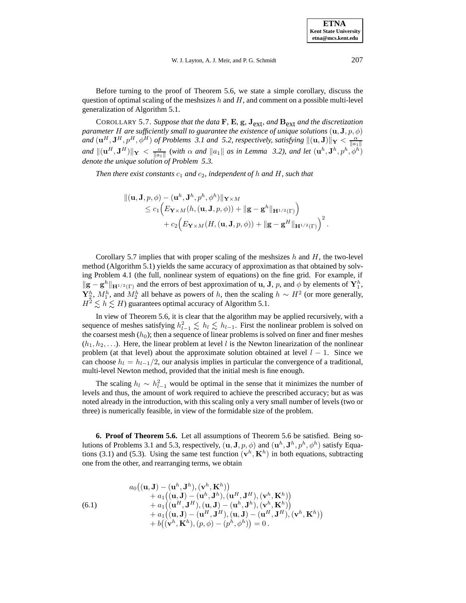Before turning to the proof of Theorem 5.6, we state a simple corollary, discuss the question of optimal scaling of the meshsizes h and  $H$ , and comment on a possible multi-level generalization of Algorithm 5.1.

COROLLARY 5.7. *Suppose that the data* **F***,* **E***,* **g***,* **J**ext*, and* **B**ext *and the discretization parameter H are sufficiently small to guarantee the existence of unique solutions*  $(\mathbf{u}, \mathbf{J}, p, \phi)$ *and*  $(\mathbf{u}^H, \mathbf{J}^H, p^H, \phi^H)$  *of Problems 3.1 and 5.2, respectively, satisfying*  $\|(\mathbf{u}, \mathbf{J})\|_{\mathbf{Y}} < \frac{\alpha}{\|a_1\|}$  $\|u\|_{\mathbf{X}} \leq \frac{\alpha}{\|a_1\|}$  (with  $\alpha$  and  $\|a_1\|$  as in Lemma 3.2), and let  $(\mathbf{u}^h, \mathbf{J}^h, p^h, \phi^h)$ *denote the unique solution of Problem 5.3.*

*Then there exist constants*  $c_1$  *and*  $c_2$ *, independent of* h *and* H, such that

$$
\begin{aligned} \|( {\mathbf{u}},\mathbf{J},p,\phi)-({\mathbf{u}}^h,\mathbf{J}^h,p^h,\phi^h)\|_{{\mathbf{Y}}\times M}\\ \leq c_1\Big(E_{\mathbf{Y}\times M}(h,({\mathbf{u}},\mathbf{J},p,\phi))+\|{\mathbf{g}}-{\mathbf{g}}^h\|_{{\mathbf{H}}^{1/2}(\Gamma)}\Big)\\ &+c_2\Big(E_{\mathbf{Y}\times M}(H,({\mathbf{u}},\mathbf{J},p,\phi))+\|{\mathbf{g}}-{\mathbf{g}}^H\|_{{\mathbf{H}}^{1/2}(\Gamma)}\Big)^2\,. \end{aligned}
$$

Corollary 5.7 implies that with proper scaling of the meshsizes h and H, the two-level method (Algorithm 5.1) yields the same accuracy of approximation as that obtained by solving Problem 4.1 (the full, nonlinear system of equations) on the fine grid. For example, if  $\|\mathbf{g} - \mathbf{g}^h\|_{\mathbf{H}^{1/2}(\Gamma)}$  and the errors of best approximation of **u**, **J**, p, and  $\phi$  by elements of  $\mathbf{Y}_1^h$ ,  $\mathbf{Y}_2^h$ ,  $M_1^h$ , and  $M_2^h$  all behave as powers of h, then the scaling  $h \sim H^2$  (or more generally,  $H^2 \le h \le H$ ) guarantees optimal accuracy of Algorithm 5.1.

In view of Theorem 5.6, it is clear that the algorithm may be applied recursively, with a sequence of meshes satisfying  $h_{l-1}^2 \leq h_l \leq h_{l-1}$ . First the nonlinear problem is solved on the coarsest mesh  $(h_0)$ ; then a sequence of linear problems is solved on finer and finer meshes  $(h_1, h_2, \ldots)$ . Here, the linear problem at level l is the Newton linearization of the nonlinear problem (at that level) about the approximate solution obtained at level  $l - 1$ . Since we can choose  $h_l = h_{l-1}/2$ , our analysis implies in particular the convergence of a traditional, multi-level Newton method, provided that the initial mesh is fine enough.

The scaling  $h_l \sim h_{l-1}^2$  would be optimal in the sense that it minimizes the number of levels and thus, the amount of work required to achieve the prescribed accuracy; but as was noted already in the introduction, with this scaling only a very small number of levels (two or three) is numerically feasible, in view of the formidable size of the problem.

**6. Proof of Theorem 5.6.** Let all assumptions of Theorem 5.6 be satisfied. Being solutions of Problems 3.1 and 5.3, respectively,  $(\mathbf{u}, \mathbf{J}, p, \phi)$  and  $(\mathbf{u}^h, \mathbf{J}^h, p^h, \phi^h)$  satisfy Equations (3.1) and (5.3). Using the same test function  $(\mathbf{v}^h, \mathbf{K}^h)$  in both equations, subtracting one from the other, and rearranging terms, we obtain

(6.1)  
\n
$$
a_0((\mathbf{u}, \mathbf{J}) - (\mathbf{u}^h, \mathbf{J}^h), (\mathbf{v}^h, \mathbf{K}^h)) + a_1((\mathbf{u}, \mathbf{J}) - (\mathbf{u}^h, \mathbf{J}^h), (\mathbf{u}^H, \mathbf{J}^H), (\mathbf{v}^h, \mathbf{K}^h)) + a_1((\mathbf{u}^H, \mathbf{J}^H), (\mathbf{u}, \mathbf{J}) - (\mathbf{u}^h, \mathbf{J}^h), (\mathbf{v}^h, \mathbf{K}^h)) + a_1((\mathbf{u}, \mathbf{J}) - (\mathbf{u}^H, \mathbf{J}^H), (\mathbf{u}, \mathbf{J}) - (\mathbf{u}^H, \mathbf{J}^H), (\mathbf{v}^h, \mathbf{K}^h)) + b((\mathbf{v}^h, \mathbf{K}^h), (p, \phi) - (p^h, \phi^h)) = 0.
$$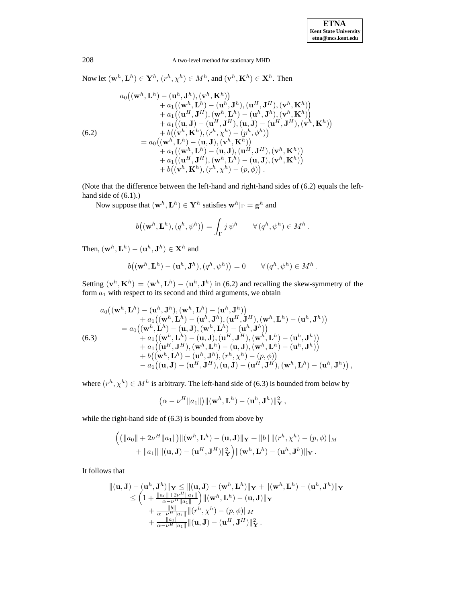Now let  $(\mathbf{w}^h, \mathbf{L}^h) \in \mathbf{Y}^h$ ,  $(r^h, \chi^h) \in M^h$ , and  $(\mathbf{v}^h, \mathbf{K}^h) \in \mathbf{X}^h$ . Then  $a_0((\mathbf{w}^h, \mathbf{L}^h) - (\mathbf{u}^h, \mathbf{J}^h), (\mathbf{v}^h, \mathbf{K}^h))$ 

(6.2)  
\n
$$
+ a_1((\mathbf{w}^h, \mathbf{L}^h) - (\mathbf{u}^h, \mathbf{J}^h), (\mathbf{u}^H, \mathbf{J}^H), (\mathbf{v}^h, \mathbf{K}^h))
$$
\n
$$
+ a_1((\mathbf{u}^H, \mathbf{J}^H), (\mathbf{w}^h, \mathbf{L}^h) - (\mathbf{u}^h, \mathbf{J}^h), (\mathbf{v}^h, \mathbf{K}^h))
$$
\n
$$
+ a_1((\mathbf{u}, \mathbf{J}) - (\mathbf{u}^H, \mathbf{J}^H), (\mathbf{u}, \mathbf{J}) - (\mathbf{u}^H, \mathbf{J}^H), (\mathbf{v}^h, \mathbf{K}^h))
$$
\n
$$
+ b((\mathbf{v}^h, \mathbf{K}^h), (r^h, \chi^h) - (p^h, \phi^h))
$$
\n
$$
= a_0((\mathbf{w}^h, \mathbf{L}^h) - (\mathbf{u}, \mathbf{J}), (\mathbf{v}^h, \mathbf{K}^h))
$$
\n
$$
+ a_1((\mathbf{w}^h, \mathbf{L}^h) - (\mathbf{u}, \mathbf{J}), (\mathbf{u}^H, \mathbf{J}^H), (\mathbf{v}^h, \mathbf{K}^h))
$$
\n
$$
+ a_1((\mathbf{u}^H, \mathbf{J}^H), (\mathbf{w}^h, \mathbf{L}^h) - (\mathbf{u}, \mathbf{J}), (\mathbf{v}^h, \mathbf{K}^h))
$$
\n
$$
+ b((\mathbf{v}^h, \mathbf{K}^h), (r^h, \chi^h) - (p, \phi)).
$$

(Note that the difference between the left-hand and right-hand sides of (6.2) equals the lefthand side of (6.1).)

Now suppose that  $(\mathbf{w}^h, \mathbf{L}^h) \in \mathbf{Y}^h$  satisfies  $\mathbf{w}^h|_{\Gamma} = \mathbf{g}^h$  and

$$
b((\mathbf{w}^h, \mathbf{L}^h), (q^h, \psi^h)) = \int_{\Gamma} j \, \psi^h \qquad \forall (q^h, \psi^h) \in M^h.
$$

Then,  $(\mathbf{w}^h, \mathbf{L}^h) - (\mathbf{u}^h, \mathbf{J}^h) \in \mathbf{X}^h$  and

$$
b((\mathbf{w}^h, \mathbf{L}^h) - (\mathbf{u}^h, \mathbf{J}^h), (q^h, \psi^h)) = 0 \qquad \forall (q^h, \psi^h) \in M^h.
$$

Setting  $(\mathbf{v}^h, \mathbf{K}^h) = (\mathbf{w}^h, \mathbf{L}^h) - (\mathbf{u}^h, \mathbf{J}^h)$  in (6.2) and recalling the skew-symmetry of the form  $a_1$  with respect to its second and third arguments, we obtain

$$
a_0((\mathbf{w}^h, \mathbf{L}^h) - (\mathbf{u}^h, \mathbf{J}^h), (\mathbf{w}^h, \mathbf{L}^h) - (\mathbf{u}^h, \mathbf{J}^h)) + a_1((\mathbf{w}^h, \mathbf{L}^h) - (\mathbf{u}^h, \mathbf{J}^h), (\mathbf{u}^H, \mathbf{J}^H), (\mathbf{w}^h, \mathbf{L}^h) - (\mathbf{u}^h, \mathbf{J}^h)) = a_0((\mathbf{w}^h, \mathbf{L}^h) - (\mathbf{u}, \mathbf{J}), (\mathbf{w}^h, \mathbf{L}^h) - (\mathbf{u}^h, \mathbf{J}^h)) + a_1((\mathbf{w}^h, \mathbf{L}^h) - (\mathbf{u}, \mathbf{J}), (\mathbf{u}^H, \mathbf{J}^H), (\mathbf{w}^h, \mathbf{L}^h) - (\mathbf{u}^h, \mathbf{J}^h)) + a_1((\mathbf{u}^H, \mathbf{J}^H), (\mathbf{w}^h, \mathbf{L}^h) - (\mathbf{u}, \mathbf{J}), (\mathbf{w}^h, \mathbf{L}^h) - (\mathbf{u}^h, \mathbf{J}^h)) + b((\mathbf{w}^h, \mathbf{L}^h) - (\mathbf{u}^h, \mathbf{J}^h), (r^h, \chi^h) - (p, \phi)) - a_1((\mathbf{u}, \mathbf{J}) - (\mathbf{u}^H, \mathbf{J}^H), (\mathbf{u}, \mathbf{J}) - (\mathbf{u}^H, \mathbf{J}^H), (\mathbf{w}^h, \mathbf{L}^h) - (\mathbf{u}^h, \mathbf{J}^h)),
$$

where  $(r^h, \chi^h) \in M^h$  is arbitrary. The left-hand side of (6.3) is bounded from below by

$$
\left(\alpha-\nu^H\|a_1\|\right)\|(\mathbf{w}^h,\mathbf{L}^h)-(\mathbf{u}^h,\mathbf{J}^h)\|_{\mathbf{Y}}^2\,,
$$

while the right-hand side of (6.3) is bounded from above by

$$
\begin{aligned}\n\left( \left( \left\| a_0 \right\| + 2\nu^H \left\| a_1 \right\| \right) \left\| (\mathbf{w}^h, \mathbf{L}^h) - (\mathbf{u}, \mathbf{J}) \right\| \mathbf{y} + \left\| b \right\| \left\| (r^h, \chi^h) - (p, \phi) \right\| M \\
&+ \left\| a_1 \right\| \left\| (\mathbf{u}, \mathbf{J}) - (\mathbf{u}^H, \mathbf{J}^H) \right\|_{\mathbf{Y}}^2 \right) \left\| (\mathbf{w}^h, \mathbf{L}^h) - (\mathbf{u}^h, \mathbf{J}^h) \right\| \mathbf{y} .\n\end{aligned}
$$

It follows that

$$
\begin{aligned} \Vert (\mathbf{u},\mathbf{J}) - (\mathbf{u}^h,\mathbf{J}^h) \Vert_{\mathbf{Y}} &\leq \Vert (\mathbf{u},\mathbf{J}) - (\mathbf{w}^h,\mathbf{L}^h) \Vert_{\mathbf{Y}} + \Vert (\mathbf{w}^h,\mathbf{L}^h) - (\mathbf{u}^h,\mathbf{J}^h) \Vert_{\mathbf{Y}} \\ &\leq \left( 1 + \frac{\Vert a_0 \Vert + 2\nu^H \Vert a_1 \Vert}{\alpha - \nu^H \Vert a_1 \Vert} \right) \Vert (\mathbf{w}^h,\mathbf{L}^h) - (\mathbf{u},\mathbf{J}) \Vert_{\mathbf{Y}} \\ &+ \frac{\Vert b \Vert}{\alpha - \nu^H \Vert a_1 \Vert} \Vert (r^h,\chi^h) - (p,\phi) \Vert_M \\ &+ \frac{\Vert a_1 \Vert}{\alpha - \nu^H \Vert a_1 \Vert} \Vert (\mathbf{u},\mathbf{J}) - (\mathbf{u}^H,\mathbf{J}^H) \Vert_{\mathbf{Y}}^2 \, . \end{aligned}
$$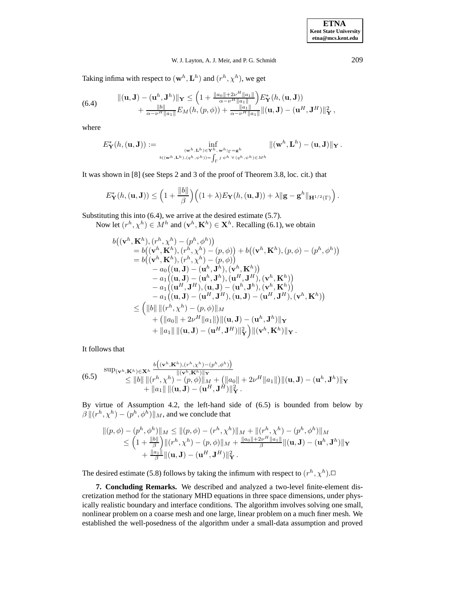## W. J. Layton, A. J. Meir, and P. G. Schmidt 209

Taking infima with respect to  $(\mathbf{w}^h,\mathbf{L}^h)$  and  $(r^h,\chi^h),$  we get

(6.4) 
$$
\begin{aligned} \n\|(\mathbf{u},\mathbf{J}) - (\mathbf{u}^h,\mathbf{J}^h)\|_{\mathbf{Y}} &\leq \left(1 + \frac{\|a_0\| + 2\nu^H \|a_1\|}{\alpha - \nu^H \|a_1\|}\right) E_{\mathbf{Y}}^*(h,(\mathbf{u},\mathbf{J})) \\ \n&\quad + \frac{\|b\|}{\alpha - \nu^H \|a_1\|} E_M(h,(p,\phi)) + \frac{\|a_1\|}{\alpha - \nu^H \|a_1\|} \|(\mathbf{u},\mathbf{J}) - (\mathbf{u}^H,\mathbf{J}^H)\|_{\mathbf{Y}}^2 \, ,\n\end{aligned}
$$

where

$$
E^*_{\mathbf{Y}}(h,(\mathbf{u},\mathbf{J})):=\inf_{\substack{(\mathbf{w}^h,\mathbf{L}^h)\in \mathbf{Y}^h,\ \mathbf{w}^h\mid_{\Gamma}=\mathbf{g}^h \\ b((\mathbf{w}^h,\mathbf{L}^h),(q^h,\psi^h))=\int_{\Gamma}j\ \psi^h\ \forall\ (q^h,\psi^h)\in M^h}}\|(\mathbf{w}^h,\mathbf{L}^h)-( \mathbf{u},\mathbf{J})\|_{\mathbf{Y}}\,.
$$

It was shown in [8] (see Steps 2 and 3 of the proof of Theorem 3.8, loc. cit.) that

$$
E_{\mathbf{Y}}^*(h,(\mathbf{u},\mathbf{J})) \leq \left(1 + \frac{\|b\|}{\beta}\right) \left( (1+\lambda) E_{\mathbf{Y}}(h,(\mathbf{u},\mathbf{J})) + \lambda \|\mathbf{g} - \mathbf{g}^h\|_{\mathbf{H}^{1/2}(\Gamma)}\right).
$$

Substituting this into (6.4), we arrive at the desired estimate (5.7). Now let  $(r^h, \chi^h) \in M^h$  and  $(\mathbf{v}^h, \mathbf{K}^h) \in \mathbf{X}^h$ . Recalling (6.1), we obtain

$$
b((\mathbf{v}^h, \mathbf{K}^h), (r^h, \chi^h) - (p^h, \phi^h))
$$
  
\n
$$
= b((\mathbf{v}^h, \mathbf{K}^h), (r^h, \chi^h) - (p, \phi)) + b((\mathbf{v}^h, \mathbf{K}^h), (p, \phi) - (p^h, \phi^h))
$$
  
\n
$$
= b((\mathbf{v}^h, \mathbf{K}^h), (r^h, \chi^h) - (p, \phi))
$$
  
\n
$$
- a_0((\mathbf{u}, \mathbf{J}) - (\mathbf{u}^h, \mathbf{J}^h), (\mathbf{v}^h, \mathbf{K}^h))
$$
  
\n
$$
- a_1((\mathbf{u}, \mathbf{J}) - (\mathbf{u}^h, \mathbf{J}^h), (\mathbf{u}^H, \mathbf{J}^H), (\mathbf{v}^h, \mathbf{K}^h))
$$
  
\n
$$
- a_1((\mathbf{u}^H, \mathbf{J}^H), (\mathbf{u}, \mathbf{J}) - (\mathbf{u}^h, \mathbf{J}^h), (\mathbf{v}^h, \mathbf{K}^h))
$$
  
\n
$$
- a_1((\mathbf{u}, \mathbf{J}) - (\mathbf{u}^H, \mathbf{J}^H), (\mathbf{u}, \mathbf{J}) - (\mathbf{u}^H, \mathbf{J}^H), (\mathbf{v}^h, \mathbf{K}^h))
$$
  
\n
$$
\leq (||b|| ||(r^h, \chi^h) - (p, \phi)||_M
$$
  
\n
$$
+ (||a_0|| + 2\nu^H ||a_1||) ||(\mathbf{u}, \mathbf{J}) - (\mathbf{u}^h, \mathbf{J}^h) ||_{\mathbf{Y}} + ||a_1|| ||(\mathbf{u}, \mathbf{J}) - (\mathbf{u}^H, \mathbf{K}^h) ||_{\mathbf{Y}}.
$$

It follows that

(6.5) 
$$
\sup_{\mathbf{w} \in \mathcal{X}^h} \sum_{j=1}^{\mathbf{w} \in \mathcal{X}^h} \frac{b((\mathbf{w}^h, \mathbf{X}^h), (r^h, \mathbf{x}^h) - (p^h, \phi^h))}{\|\mathbf{w}^h, \mathbf{K}^h\|\|_{\mathbf{W}} + (||a_0|| + 2\nu^H ||a_1||) ||(\mathbf{u}, \mathbf{J}) - (\mathbf{u}^h, \mathbf{J}^h)\|_{\mathbf{Y}} + ||a_1|| ||(\mathbf{u}, \mathbf{J}) - (\mathbf{u}^H, \mathbf{J}^H)||_{\mathbf{Y}}^2.
$$

By virtue of Assumption 4.2, the left-hand side of (6.5) is bounded from below by  $\beta || (r^h, \chi^h) - (p^h, \phi^h) ||_M$ , and we conclude that

$$
\| (p, \phi) - (p^h, \phi^h) \|_M \le \| (p, \phi) - (r^h, \chi^h) \|_M + \| (r^h, \chi^h) - (p^h, \phi^h) \|_M
$$
  

$$
\le \left( 1 + \frac{\|\mathbf{b}\|}{\beta} \right) \| (r^h, \chi^h) - (p, \phi) \|_M + \frac{\|\mathbf{a}_0\| + 2\nu^H \|\mathbf{a}_1\|}{\beta} \| (\mathbf{u}, \mathbf{J}) - (\mathbf{u}^h, \mathbf{J}^h) \|_{\mathbf{Y}} + \frac{\|\mathbf{a}_1\|}{\beta} \| (\mathbf{u}, \mathbf{J}) - (\mathbf{u}^H, \mathbf{J}^H) \|_{\mathbf{Y}}^2.
$$

The desired estimate (5.8) follows by taking the infimum with respect to  $(r^h, \chi^h)$ .

**7. Concluding Remarks.** We described and analyzed a two-level finite-element discretization method for the stationary MHD equations in three space dimensions, under physically realistic boundary and interface conditions. The algorithm involves solving one small, nonlinear problem on a coarse mesh and one large, linear problem on a much finer mesh. We established the well-posedness of the algorithm under a small-data assumption and proved